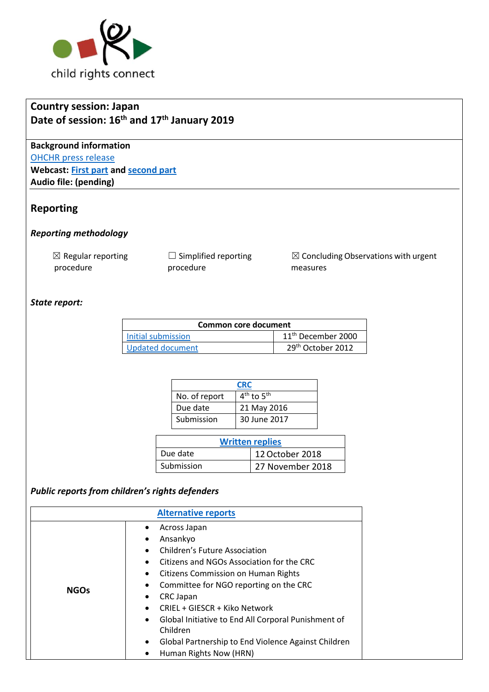

# **Country session: Japan Date of session: 16th and 17th January 2019**

**Background information** [OHCHR press release](https://www.ohchr.org/EN/NewsEvents/Pages/DisplayNews.aspx?NewsID=24083&LangID=E) **Webcast: [First part](http://webtv.un.org/search/consideration-of-japan-2346th-meeting-80th-session-committee-on-the-rights-of-the-child/5990465578001/?term=&lan=english&cat=Treaty%20Bodies&sort=date&page=2) and [second part](http://webtv.un.org/search/consideration-of-japan-contd-2347th-meeting-80th-session-committee-on-the-rights-of-the-child/5990588517001/?term=&lan=english&cat=Treaty%20Bodies&sort=date&page=2) Audio file: (pending)**

## **Reporting**

#### *Reporting methodology*

 $\boxtimes$  Regular reporting procedure

 $\Box$  Simplified reporting procedure

☒ Concluding Observations with urgent measures

### *State report:*

| Common core document |                                |  |
|----------------------|--------------------------------|--|
| Initial submission   | 11 <sup>th</sup> December 2000 |  |
| Updated document     | 29 <sup>th</sup> October 2012  |  |

| <b>CRC</b>    |                |
|---------------|----------------|
| No. of report | $4th$ to $5th$ |
| Due date      | 21 May 2016    |
| Submission    | 30 June 2017   |

| <b>Written replies</b> |                  |  |
|------------------------|------------------|--|
| Due date               | 12 October 2018  |  |
| Submission             | 27 November 2018 |  |

# *Public reports from children's rights defenders*

| <b>Alternative reports</b> |                                                                                                                                                                                                                                                                                                                                                                                                                                                                       |  |  |  |
|----------------------------|-----------------------------------------------------------------------------------------------------------------------------------------------------------------------------------------------------------------------------------------------------------------------------------------------------------------------------------------------------------------------------------------------------------------------------------------------------------------------|--|--|--|
| <b>NGOs</b>                | Across Japan<br>Ansankyo<br>٠<br>Children's Future Association<br>Citizens and NGOs Association for the CRC<br><b>Citizens Commission on Human Rights</b><br>$\bullet$<br>Committee for NGO reporting on the CRC<br>$\bullet$<br><b>CRC Japan</b><br>٠<br>CRIEL + GIESCR + Kiko Network<br>Global Initiative to End All Corporal Punishment of<br>$\bullet$<br>Children<br>Global Partnership to End Violence Against Children<br>$\bullet$<br>Human Rights Now (HRN) |  |  |  |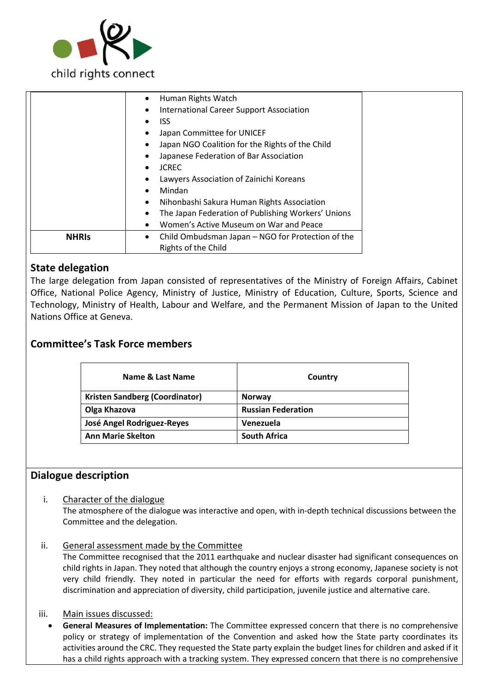

|              | Human Rights Watch                                 |
|--------------|----------------------------------------------------|
|              | <b>International Career Support Association</b>    |
|              | ISS.                                               |
|              | Japan Committee for UNICEF                         |
|              | Japan NGO Coalition for the Rights of the Child    |
|              | Japanese Federation of Bar Association             |
|              | <b>JCREC</b>                                       |
|              | Lawyers Association of Zainichi Koreans            |
|              | Mindan                                             |
|              | Nihonbashi Sakura Human Rights Association         |
|              | The Japan Federation of Publishing Workers' Unions |
|              | Women's Active Museum on War and Peace             |
| <b>NHRIS</b> | Child Ombudsman Japan - NGO for Protection of the  |
|              | Rights of the Child                                |
|              |                                                    |

## **State delegation**

The large delegation from Japan consisted of representatives of the Ministry of Foreign Affairs, Cabinet Office, National Police Agency, Ministry of Justice, Ministry of Education, Culture, Sports, Science and Technology, Ministry of Health, Labour and Welfare, and the Permanent Mission of Japan to the United Nations Office at Geneva.

## **Committee's Task Force members**

| Name & Last Name               | Country                   |
|--------------------------------|---------------------------|
| Kristen Sandberg (Coordinator) | <b>Norway</b>             |
| Olga Khazova                   | <b>Russian Federation</b> |
| José Angel Rodriguez-Reyes     | Venezuela                 |
| <b>Ann Marie Skelton</b>       | <b>South Africa</b>       |

## **Dialogue description**

i. Character of the dialogue

The atmosphere of the dialogue was interactive and open, with in-depth technical discussions between the Committee and the delegation.

ii. General assessment made by the Committee

The Committee recognised that the 2011 earthquake and nuclear disaster had significant consequences on child rights in Japan. They noted that although the country enjoys a strong economy, Japanese society is not very child friendly. They noted in particular the need for efforts with regards corporal punishment, discrimination and appreciation of diversity, child participation, juvenile justice and alternative care.

iii. Main issues discussed:

 **General Measures of Implementation:** The Committee expressed concern that there is no comprehensive policy or strategy of implementation of the Convention and asked how the State party coordinates its activities around the CRC. They requested the State party explain the budget lines for children and asked if it has a child rights approach with a tracking system. They expressed concern that there is no comprehensive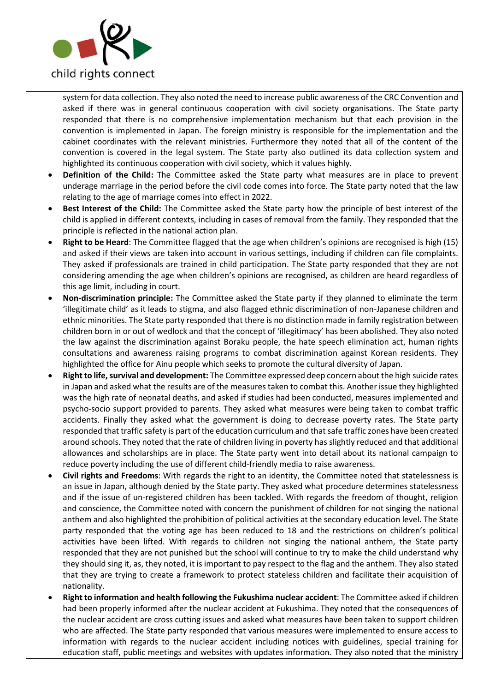

system for data collection. They also noted the need to increase public awareness of the CRC Convention and asked if there was in general continuous cooperation with civil society organisations. The State party responded that there is no comprehensive implementation mechanism but that each provision in the convention is implemented in Japan. The foreign ministry is responsible for the implementation and the cabinet coordinates with the relevant ministries. Furthermore they noted that all of the content of the convention is covered in the legal system. The State party also outlined its data collection system and highlighted its continuous cooperation with civil society, which it values highly.

- **Definition of the Child:** The Committee asked the State party what measures are in place to prevent underage marriage in the period before the civil code comes into force. The State party noted that the law relating to the age of marriage comes into effect in 2022.
- **Best Interest of the Child:** The Committee asked the State party how the principle of best interest of the child is applied in different contexts, including in cases of removal from the family. They responded that the principle is reflected in the national action plan.
- **Right to be Heard**: The Committee flagged that the age when children's opinions are recognised is high (15) and asked if their views are taken into account in various settings, including if children can file complaints. They asked if professionals are trained in child participation. The State party responded that they are not considering amending the age when children's opinions are recognised, as children are heard regardless of this age limit, including in court.
- **Non-discrimination principle:** The Committee asked the State party if they planned to eliminate the term 'illegitimate child' as it leads to stigma, and also flagged ethnic discrimination of non-Japanese children and ethnic minorities. The State party responded that there is no distinction made in family registration between children born in or out of wedlock and that the concept of 'illegitimacy' has been abolished. They also noted the law against the discrimination against Boraku people, the hate speech elimination act, human rights consultations and awareness raising programs to combat discrimination against Korean residents. They highlighted the office for Ainu people which seeks to promote the cultural diversity of Japan.
- **Right to life, survival and development:** The Committee expressed deep concern about the high suicide rates in Japan and asked what the results are of the measures taken to combat this. Another issue they highlighted was the high rate of neonatal deaths, and asked if studies had been conducted, measures implemented and psycho-socio support provided to parents. They asked what measures were being taken to combat traffic accidents. Finally they asked what the government is doing to decrease poverty rates. The State party responded that traffic safety is part of the education curriculum and that safe traffic zones have been created around schools. They noted that the rate of children living in poverty has slightly reduced and that additional allowances and scholarships are in place. The State party went into detail about its national campaign to reduce poverty including the use of different child-friendly media to raise awareness.
- **Civil rights and Freedoms**: With regards the right to an identity, the Committee noted that statelessness is an issue in Japan, although denied by the State party. They asked what procedure determines statelessness and if the issue of un-registered children has been tackled. With regards the freedom of thought, religion and conscience, the Committee noted with concern the punishment of children for not singing the national anthem and also highlighted the prohibition of political activities at the secondary education level. The State party responded that the voting age has been reduced to 18 and the restrictions on children's political activities have been lifted. With regards to children not singing the national anthem, the State party responded that they are not punished but the school will continue to try to make the child understand why they should sing it, as, they noted, it is important to pay respect to the flag and the anthem. They also stated that they are trying to create a framework to protect stateless children and facilitate their acquisition of nationality.
- **Right to information and health following the Fukushima nuclear accident**: The Committee asked if children had been properly informed after the nuclear accident at Fukushima. They noted that the consequences of the nuclear accident are cross cutting issues and asked what measures have been taken to support children who are affected. The State party responded that various measures were implemented to ensure access to information with regards to the nuclear accident including notices with guidelines, special training for education staff, public meetings and websites with updates information. They also noted that the ministry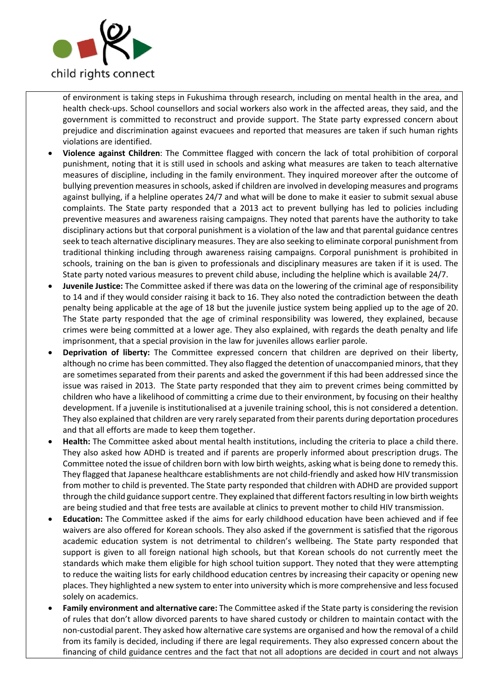

of environment is taking steps in Fukushima through research, including on mental health in the area, and health check-ups. School counsellors and social workers also work in the affected areas, they said, and the government is committed to reconstruct and provide support. The State party expressed concern about prejudice and discrimination against evacuees and reported that measures are taken if such human rights violations are identified.

- **Violence against Children**: The Committee flagged with concern the lack of total prohibition of corporal punishment, noting that it is still used in schools and asking what measures are taken to teach alternative measures of discipline, including in the family environment. They inquired moreover after the outcome of bullying prevention measures in schools, asked if children are involved in developing measures and programs against bullying, if a helpline operates 24/7 and what will be done to make it easier to submit sexual abuse complaints. The State party responded that a 2013 act to prevent bullying has led to policies including preventive measures and awareness raising campaigns. They noted that parents have the authority to take disciplinary actions but that corporal punishment is a violation of the law and that parental guidance centres seek to teach alternative disciplinary measures. They are also seeking to eliminate corporal punishment from traditional thinking including through awareness raising campaigns. Corporal punishment is prohibited in schools, training on the ban is given to professionals and disciplinary measures are taken if it is used. The State party noted various measures to prevent child abuse, including the helpline which is available 24/7.
- **Juvenile Justice:** The Committee asked if there was data on the lowering of the criminal age of responsibility to 14 and if they would consider raising it back to 16. They also noted the contradiction between the death penalty being applicable at the age of 18 but the juvenile justice system being applied up to the age of 20. The State party responded that the age of criminal responsibility was lowered, they explained, because crimes were being committed at a lower age. They also explained, with regards the death penalty and life imprisonment, that a special provision in the law for juveniles allows earlier parole.
- **Deprivation of liberty:** The Committee expressed concern that children are deprived on their liberty, although no crime has been committed. They also flagged the detention of unaccompanied minors, that they are sometimes separated from their parents and asked the government if this had been addressed since the issue was raised in 2013. The State party responded that they aim to prevent crimes being committed by children who have a likelihood of committing a crime due to their environment, by focusing on their healthy development. If a juvenile is institutionalised at a juvenile training school, this is not considered a detention. They also explained that children are very rarely separated from their parents during deportation procedures and that all efforts are made to keep them together.
- **Health:** The Committee asked about mental health institutions, including the criteria to place a child there. They also asked how ADHD is treated and if parents are properly informed about prescription drugs. The Committee noted the issue of children born with low birth weights, asking what is being done to remedy this. They flagged that Japanese healthcare establishments are not child-friendly and asked how HIV transmission from mother to child is prevented. The State party responded that children with ADHD are provided support through the child guidance support centre. They explained that different factors resulting in low birth weights are being studied and that free tests are available at clinics to prevent mother to child HIV transmission.
- **Education:** The Committee asked if the aims for early childhood education have been achieved and if fee waivers are also offered for Korean schools. They also asked if the government is satisfied that the rigorous academic education system is not detrimental to children's wellbeing. The State party responded that support is given to all foreign national high schools, but that Korean schools do not currently meet the standards which make them eligible for high school tuition support. They noted that they were attempting to reduce the waiting lists for early childhood education centres by increasing their capacity or opening new places. They highlighted a new system to enter into university which is more comprehensive and less focused solely on academics.
- **Family environment and alternative care:** The Committee asked if the State party is considering the revision of rules that don't allow divorced parents to have shared custody or children to maintain contact with the non-custodial parent. They asked how alternative care systems are organised and how the removal of a child from its family is decided, including if there are legal requirements. They also expressed concern about the financing of child guidance centres and the fact that not all adoptions are decided in court and not always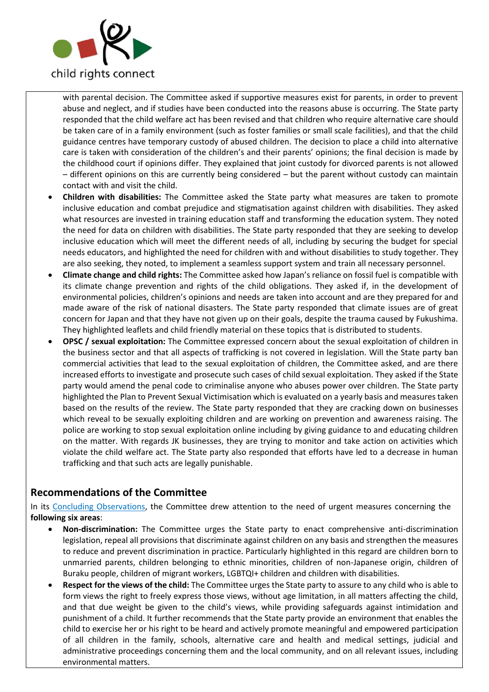

with parental decision. The Committee asked if supportive measures exist for parents, in order to prevent abuse and neglect, and if studies have been conducted into the reasons abuse is occurring. The State party responded that the child welfare act has been revised and that children who require alternative care should be taken care of in a family environment (such as foster families or small scale facilities), and that the child guidance centres have temporary custody of abused children. The decision to place a child into alternative care is taken with consideration of the children's and their parents' opinions; the final decision is made by the childhood court if opinions differ. They explained that joint custody for divorced parents is not allowed – different opinions on this are currently being considered – but the parent without custody can maintain contact with and visit the child.

- **Children with disabilities:** The Committee asked the State party what measures are taken to promote inclusive education and combat prejudice and stigmatisation against children with disabilities. They asked what resources are invested in training education staff and transforming the education system. They noted the need for data on children with disabilities. The State party responded that they are seeking to develop inclusive education which will meet the different needs of all, including by securing the budget for special needs educators, and highlighted the need for children with and without disabilities to study together. They are also seeking, they noted, to implement a seamless support system and train all necessary personnel.
- **Climate change and child rights:** The Committee asked how Japan's reliance on fossil fuel is compatible with its climate change prevention and rights of the child obligations. They asked if, in the development of environmental policies, children's opinions and needs are taken into account and are they prepared for and made aware of the risk of national disasters. The State party responded that climate issues are of great concern for Japan and that they have not given up on their goals, despite the trauma caused by Fukushima. They highlighted leaflets and child friendly material on these topics that is distributed to students.
- **OPSC / sexual exploitation:** The Committee expressed concern about the sexual exploitation of children in the business sector and that all aspects of trafficking is not covered in legislation. Will the State party ban commercial activities that lead to the sexual exploitation of children, the Committee asked, and are there increased efforts to investigate and prosecute such cases of child sexual exploitation. They asked if the State party would amend the penal code to criminalise anyone who abuses power over children. The State party highlighted the Plan to Prevent Sexual Victimisation which is evaluated on a yearly basis and measures taken based on the results of the review. The State party responded that they are cracking down on businesses which reveal to be sexually exploiting children and are working on prevention and awareness raising. The police are working to stop sexual exploitation online including by giving guidance to and educating children on the matter. With regards JK businesses, they are trying to monitor and take action on activities which violate the child welfare act. The State party also responded that efforts have led to a decrease in human trafficking and that such acts are legally punishable.

## **Recommendations of the Committee**

In its [Concluding Observations,](https://tbinternet.ohchr.org/_layouts/treatybodyexternal/Download.aspx?symbolno=CRC%2fC%2fJPN%2fCO%2f4-5&Lang=en) the Committee drew attention to the need of urgent measures concerning the **following six areas**:

- **Non-discrimination:** The Committee urges the State party to enact comprehensive anti-discrimination legislation, repeal all provisions that discriminate against children on any basis and strengthen the measures to reduce and prevent discrimination in practice. Particularly highlighted in this regard are children born to unmarried parents, children belonging to ethnic minorities, children of non-Japanese origin, children of Buraku people, children of migrant workers, LGBTQI+ children and children with disabilities.
- **Respect for the views of the child:** The Committee urges the State party to assure to any child who is able to form views the right to freely express those views, without age limitation, in all matters affecting the child, and that due weight be given to the child's views, while providing safeguards against intimidation and punishment of a child. It further recommends that the State party provide an environment that enables the child to exercise her or his right to be heard and actively promote meaningful and empowered participation of all children in the family, schools, alternative care and health and medical settings, judicial and administrative proceedings concerning them and the local community, and on all relevant issues, including environmental matters.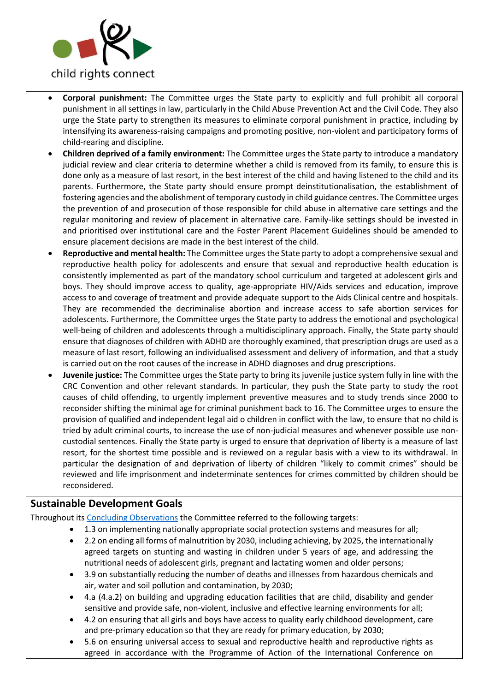

- **Corporal punishment:** The Committee urges the State party to explicitly and full prohibit all corporal punishment in all settings in law, particularly in the Child Abuse Prevention Act and the Civil Code. They also urge the State party to strengthen its measures to eliminate corporal punishment in practice, including by intensifying its awareness-raising campaigns and promoting positive, non-violent and participatory forms of child-rearing and discipline.
- **Children deprived of a family environment:** The Committee urges the State party to introduce a mandatory judicial review and clear criteria to determine whether a child is removed from its family, to ensure this is done only as a measure of last resort, in the best interest of the child and having listened to the child and its parents. Furthermore, the State party should ensure prompt deinstitutionalisation, the establishment of fostering agencies and the abolishment of temporary custody in child guidance centres. The Committee urges the prevention of and prosecution of those responsible for child abuse in alternative care settings and the regular monitoring and review of placement in alternative care. Family-like settings should be invested in and prioritised over institutional care and the Foster Parent Placement Guidelines should be amended to ensure placement decisions are made in the best interest of the child.
- **Reproductive and mental health:** The Committee urges the State party to adopt a comprehensive sexual and reproductive health policy for adolescents and ensure that sexual and reproductive health education is consistently implemented as part of the mandatory school curriculum and targeted at adolescent girls and boys. They should improve access to quality, age-appropriate HIV/Aids services and education, improve access to and coverage of treatment and provide adequate support to the Aids Clinical centre and hospitals. They are recommended the decriminalise abortion and increase access to safe abortion services for adolescents. Furthermore, the Committee urges the State party to address the emotional and psychological well-being of children and adolescents through a multidisciplinary approach. Finally, the State party should ensure that diagnoses of children with ADHD are thoroughly examined, that prescription drugs are used as a measure of last resort, following an individualised assessment and delivery of information, and that a study is carried out on the root causes of the increase in ADHD diagnoses and drug prescriptions.
- **Juvenile justice:** The Committee urges the State party to bring its juvenile justice system fully in line with the CRC Convention and other relevant standards. In particular, they push the State party to study the root causes of child offending, to urgently implement preventive measures and to study trends since 2000 to reconsider shifting the minimal age for criminal punishment back to 16. The Committee urges to ensure the provision of qualified and independent legal aid o children in conflict with the law, to ensure that no child is tried by adult criminal courts, to increase the use of non-judicial measures and whenever possible use noncustodial sentences. Finally the State party is urged to ensure that deprivation of liberty is a measure of last resort, for the shortest time possible and is reviewed on a regular basis with a view to its withdrawal. In particular the designation of and deprivation of liberty of children "likely to commit crimes" should be reviewed and life imprisonment and indeterminate sentences for crimes committed by children should be reconsidered.

## **Sustainable Development Goals**

- Throughout it[s Concluding Observations](https://tbinternet.ohchr.org/_layouts/treatybodyexternal/Download.aspx?symbolno=CRC%2fC%2fJPN%2fCO%2f4-5&Lang=en) the Committee referred to the following targets:
	- 1.3 on implementing nationally appropriate social protection systems and measures for all;
		- 2.2 on ending all forms of malnutrition by 2030, including achieving, by 2025, the internationally agreed targets on stunting and wasting in children under 5 years of age, and addressing the nutritional needs of adolescent girls, pregnant and lactating women and older persons;
		- 3.9 on substantially reducing the number of deaths and illnesses from hazardous chemicals and air, water and soil pollution and contamination, by 2030;
		- 4.a (4.a.2) on building and upgrading education facilities that are child, disability and gender sensitive and provide safe, non-violent, inclusive and effective learning environments for all;
		- 4.2 on ensuring that all girls and boys have access to quality early childhood development, care and pre-primary education so that they are ready for primary education, by 2030;
		- 5.6 on ensuring universal access to sexual and reproductive health and reproductive rights as agreed in accordance with the Programme of Action of the International Conference on